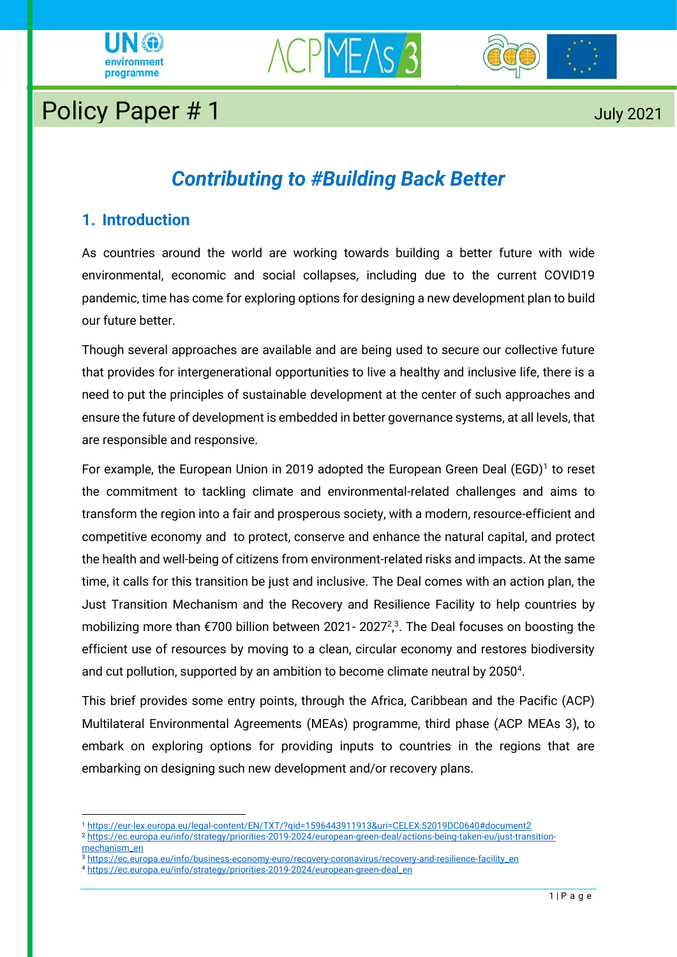





# Policy Paper # 1 July 2021

## *Contributing to #Building Back Better*

## **1. Introduction**

As countries around the world are working towards building a better future with wide environmental, economic and social collapses, including due to the current COVID19 pandemic, time has come for exploring options for designing a new development plan to build our future better

Though several approaches are available and are being used to secure our collective future that provides for intergenerational opportunities to live a healthy and inclusive life, there is a need to put the principles of sustainable development at the center of such approaches and ensure the future of development is embedded in better governance systems, at all levels, that are responsible and responsive.

For example, the European Union in 2019 adopted the European Green Deal (EGD)<sup>1</sup> to reset the commitment to tackling climate and environmental-related challenges and aims to transform the region into a fair and prosperous society, with a modern, resource-efficient and competitive economy and to protect, conserve and enhance the natural capital, and protect the health and well-being of citizens from environment-related risks and impacts. At the same time, it calls for this transition be just and inclusive. The Deal comes with an action plan, the Just Transition Mechanism and the Recovery and Resilience Facility to help countries by mobilizing more than €700 billion between 2021- 2027<sup>2</sup>,<sup>3</sup>. The Deal focuses on boosting the , efficient use of resources by moving to a clean, circular economy and restores biodiversity and cut pollution, supported by an ambition to become climate neutral by 2050<sup>4</sup>.

This brief provides some entry points, through the Africa, Caribbean and the Pacific (ACP) Multilateral Environmental Agreements (MEAs) programme, third phase (ACP MEAs 3), to embark on exploring options for providing inputs to countries in the regions that are embarking on designing such new development and/or recovery plans.

[mechanism\\_en](https://ec.europa.eu/info/strategy/priorities-2019-2024/european-green-deal/actions-being-taken-eu/just-transition-mechanism_en)

<sup>1</sup> <https://eur-lex.europa.eu/legal-content/EN/TXT/?qid=1596443911913&uri=CELEX:52019DC0640#document2> <sup>2</sup> [https://ec.europa.eu/info/strategy/priorities-2019-2024/european-green-deal/actions-being-taken-eu/just-transition-](https://ec.europa.eu/info/strategy/priorities-2019-2024/european-green-deal/actions-being-taken-eu/just-transition-mechanism_en)

<sup>3</sup> [https://ec.europa.eu/info/business-economy-euro/recovery-coronavirus/recovery-and-resilience-facility\\_en](https://ec.europa.eu/info/business-economy-euro/recovery-coronavirus/recovery-and-resilience-facility_en)

<sup>4</sup> [https://ec.europa.eu/info/strategy/priorities-2019-2024/european-green-deal\\_en](https://ec.europa.eu/info/strategy/priorities-2019-2024/european-green-deal_en)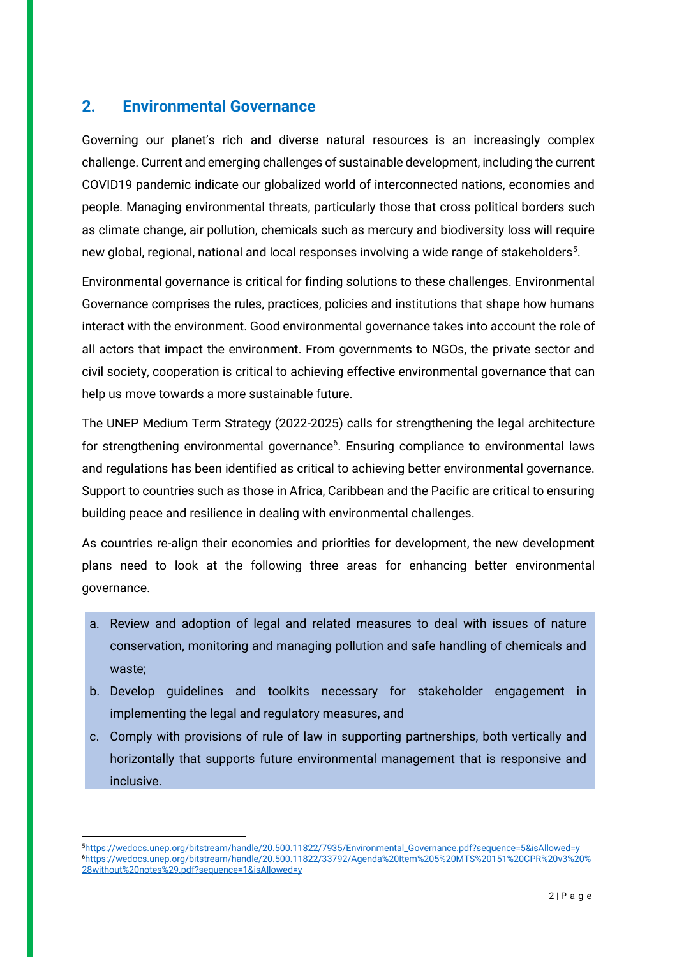### **2. Environmental Governance**

Governing our planet's rich and diverse natural resources is an increasingly complex challenge. Current and emerging challenges of sustainable development, including the current COVID19 pandemic indicate our globalized world of interconnected nations, economies and people. Managing environmental threats, particularly those that cross political borders such as climate change, air pollution, chemicals such as mercury and biodiversity loss will require new global, regional, national and local responses involving a wide range of stakeholders<sup>5</sup>.

Environmental governance is critical for finding solutions to these challenges. Environmental Governance comprises the rules, practices, policies and institutions that shape how humans interact with the environment. Good environmental governance takes into account the role of all actors that impact the environment. From governments to NGOs, the private sector and civil society, cooperation is critical to achieving effective environmental governance that can help us move towards a more sustainable future.

The UNEP Medium Term Strategy (2022-2025) calls for strengthening the legal architecture for strengthening environmental governance<sup>6</sup>. Ensuring compliance to environmental laws and regulations has been identified as critical to achieving better environmental governance. Support to countries such as those in Africa, Caribbean and the Pacific are critical to ensuring building peace and resilience in dealing with environmental challenges.

As countries re-align their economies and priorities for development, the new development plans need to look at the following three areas for enhancing better environmental governance.

- a. Review and adoption of legal and related measures to deal with issues of nature conservation, monitoring and managing pollution and safe handling of chemicals and waste;
- b. Develop guidelines and toolkits necessary for stakeholder engagement in implementing the legal and regulatory measures, and
- c. Comply with provisions of rule of law in supporting partnerships, both vertically and horizontally that supports future environmental management that is responsive and inclusive.

<sup>5</sup>[https://wedocs.unep.org/bitstream/handle/20.500.11822/7935/Environmental\\_Governance.pdf?sequence=5&isAllowed=y](https://wedocs.unep.org/bitstream/handle/20.500.11822/7935/Environmental_Governance.pdf?sequence=5&isAllowed=y) <sup>6</sup>[https://wedocs.unep.org/bitstream/handle/20.500.11822/33792/Agenda%20Item%205%20MTS%20151%20CPR%20v3%20%](https://wedocs.unep.org/bitstream/handle/20.500.11822/33792/Agenda%20Item%205%20MTS%20151%20CPR%20v3%20%28without%20notes%29.pdf?sequence=1&isAllowed=y) [28without%20notes%29.pdf?sequence=1&isAllowed=y](https://wedocs.unep.org/bitstream/handle/20.500.11822/33792/Agenda%20Item%205%20MTS%20151%20CPR%20v3%20%28without%20notes%29.pdf?sequence=1&isAllowed=y)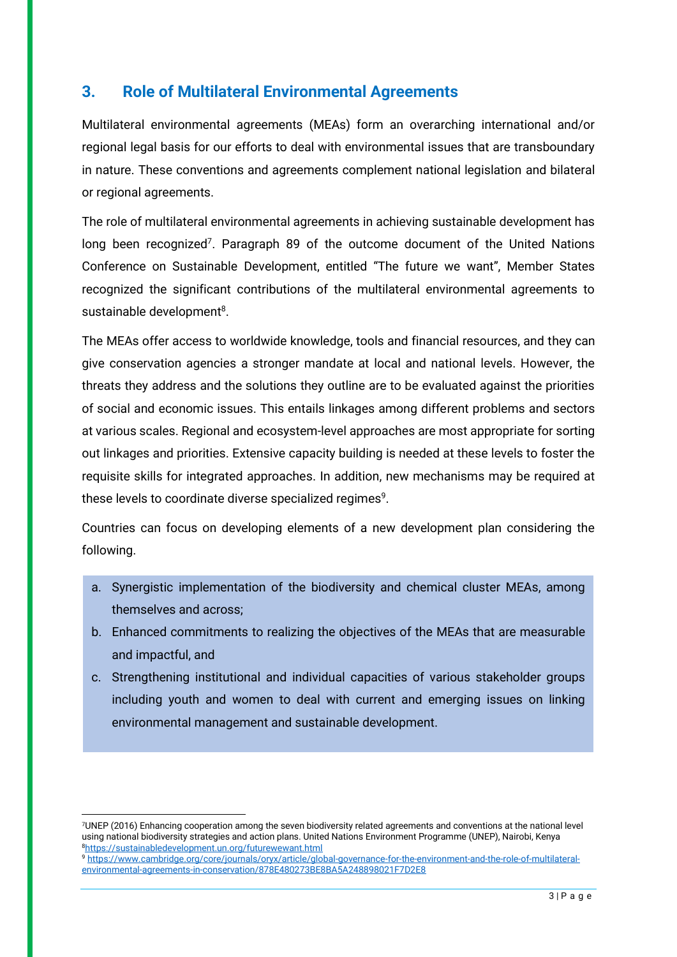## **3. Role of Multilateral Environmental Agreements**

Multilateral environmental agreements (MEAs) form an overarching international and/or regional legal basis for our efforts to deal with environmental issues that are transboundary in nature. These conventions and agreements complement national legislation and bilateral or regional agreements.

The role of multilateral environmental agreements in achieving sustainable development has long been recognized<sup>7</sup>. Paragraph 89 of the outcome document of the United Nations Conference on Sustainable Development, entitled "The future we want", Member States recognized the significant contributions of the multilateral environmental agreements to sustainable development<sup>8</sup>.

The MEAs offer access to worldwide knowledge, tools and financial resources, and they can give conservation agencies a stronger mandate at local and national levels. However, the threats they address and the solutions they outline are to be evaluated against the priorities of social and economic issues. This entails linkages among different problems and sectors at various scales. Regional and ecosystem-level approaches are most appropriate for sorting out linkages and priorities. Extensive capacity building is needed at these levels to foster the requisite skills for integrated approaches. In addition, new mechanisms may be required at these levels to coordinate diverse specialized regimes $9$ .

Countries can focus on developing elements of a new development plan considering the following.

- a. Synergistic implementation of the biodiversity and chemical cluster MEAs, among themselves and across;
- b. Enhanced commitments to realizing the objectives of the MEAs that are measurable and impactful, and
- c. Strengthening institutional and individual capacities of various stakeholder groups including youth and women to deal with current and emerging issues on linking environmental management and sustainable development.

<sup>7</sup>UNEP (2016) Enhancing cooperation among the seven biodiversity related agreements and conventions at the national level using national biodiversity strategies and action plans. United Nations Environment Programme (UNEP), Nairobi, Kenya <sup>8</sup><https://sustainabledevelopment.un.org/futurewewant.html>

<sup>9</sup> [https://www.cambridge.org/core/journals/oryx/article/global-governance-for-the-environment-and-the-role-of-multilateral](https://www.cambridge.org/core/journals/oryx/article/global-governance-for-the-environment-and-the-role-of-multilateral-environmental-agreements-in-conservation/878E480273BE8BA5A248898021F7D2E8)[environmental-agreements-in-conservation/878E480273BE8BA5A248898021F7D2E8](https://www.cambridge.org/core/journals/oryx/article/global-governance-for-the-environment-and-the-role-of-multilateral-environmental-agreements-in-conservation/878E480273BE8BA5A248898021F7D2E8)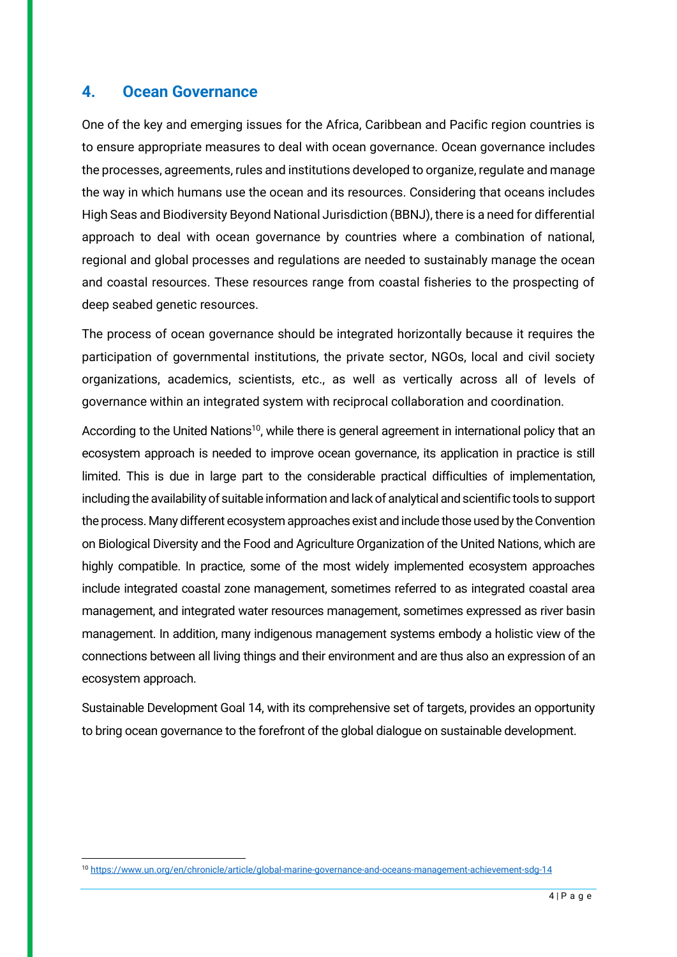#### **4. Ocean Governance**

One of the key and emerging issues for the Africa, Caribbean and Pacific region countries is to ensure appropriate measures to deal with ocean governance. Ocean governance includes the processes, agreements, rules and institutions developed to organize, regulate and manage the way in which humans use the ocean and its resources. Considering that oceans includes High Seas and Biodiversity Beyond National Jurisdiction (BBNJ), there is a need for differential approach to deal with ocean governance by countries where a combination of national, regional and global processes and regulations are needed to sustainably manage the ocean and coastal resources. These resources range from coastal fisheries to the prospecting of deep seabed genetic resources.

The process of ocean governance should be integrated horizontally because it requires the participation of governmental institutions, the private sector, NGOs, local and civil society organizations, academics, scientists, etc., as well as vertically across all of levels of governance within an integrated system with reciprocal collaboration and coordination.

According to the United Nations<sup>10</sup>, while there is general agreement in international policy that an ecosystem approach is needed to improve ocean governance, its application in practice is still limited. This is due in large part to the considerable practical difficulties of implementation, including the availability of suitable information and lack of analytical and scientific tools to support the process. Many different ecosystem approaches exist and include those used by the Convention on Biological Diversity and the Food and Agriculture Organization of the United Nations, which are highly compatible. In practice, some of the most widely implemented ecosystem approaches include integrated coastal zone management, sometimes referred to as integrated coastal area management, and integrated water resources management, sometimes expressed as river basin management. In addition, many indigenous management systems embody a holistic view of the connections between all living things and their environment and are thus also an expression of an ecosystem approach.

Sustainable Development Goal 14, with its comprehensive set of targets, provides an opportunity to bring ocean governance to the forefront of the global dialogue on sustainable development.

<sup>10</sup> <https://www.un.org/en/chronicle/article/global-marine-governance-and-oceans-management-achievement-sdg-14>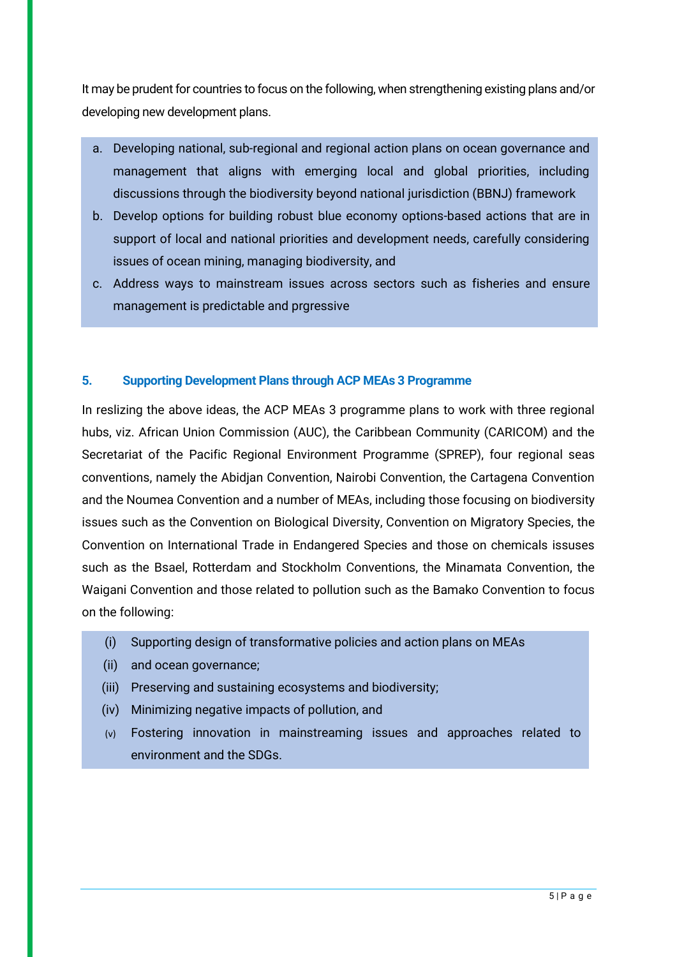It may be prudent for countries to focus on the following, when strengthening existing plans and/or developing new development plans.

- a. Developing national, sub-regional and regional action plans on ocean governance and management that aligns with emerging local and global priorities, including discussions through the biodiversity beyond national jurisdiction (BBNJ) framework
- b. Develop options for building robust blue economy options-based actions that are in support of local and national priorities and development needs, carefully considering issues of ocean mining, managing biodiversity, and
- c. Address ways to mainstream issues across sectors such as fisheries and ensure management is predictable and prgressive

#### **5. Supporting Development Plans through ACP MEAs 3 Programme**

In reslizing the above ideas, the ACP MEAs 3 programme plans to work with three regional hubs, viz. African Union Commission (AUC), the Caribbean Community (CARICOM) and the Secretariat of the Pacific Regional Environment Programme (SPREP), four regional seas conventions, namely the Abidjan Convention, Nairobi Convention, the Cartagena Convention and the Noumea Convention and a number of MEAs, including those focusing on biodiversity issues such as the Convention on Biological Diversity, Convention on Migratory Species, the Convention on International Trade in Endangered Species and those on chemicals issuses such as the Bsael, Rotterdam and Stockholm Conventions, the Minamata Convention, the Waigani Convention and those related to pollution such as the Bamako Convention to focus on the following:

- (i) Supporting design of transformative policies and action plans on MEAs
- (ii) and ocean governance;
- (iii) Preserving and sustaining ecosystems and biodiversity;
- (iv) Minimizing negative impacts of pollution, and
- (v) Fostering innovation in mainstreaming issues and approaches related to environment and the SDGs.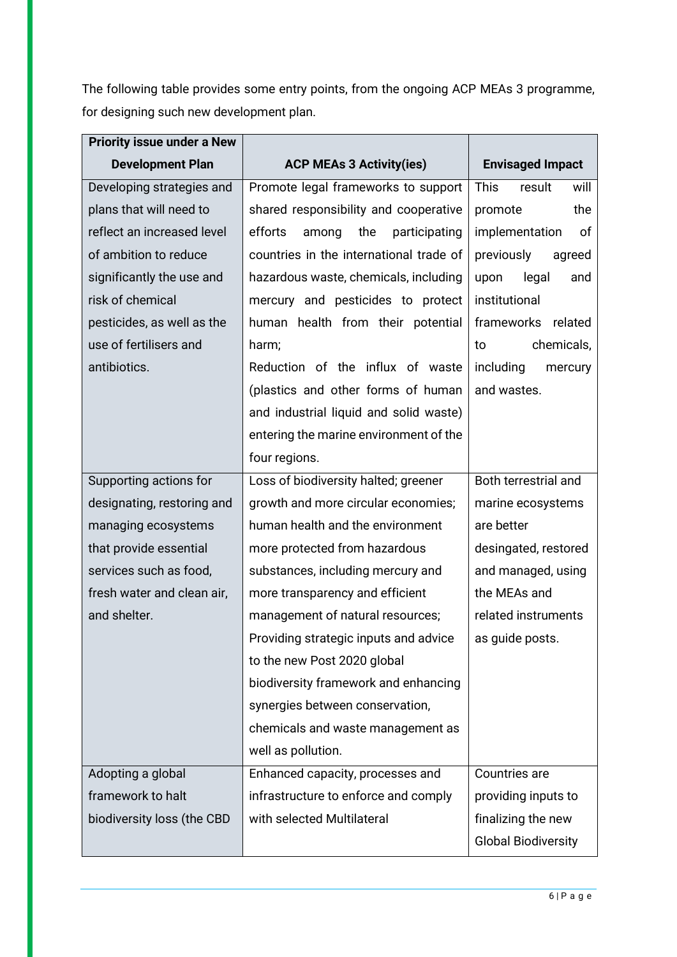The following table provides some entry points, from the ongoing ACP MEAs 3 programme, for designing such new development plan.

| <b>Priority issue under a New</b> |                                          |                               |
|-----------------------------------|------------------------------------------|-------------------------------|
| <b>Development Plan</b>           | <b>ACP MEAs 3 Activity(ies)</b>          | <b>Envisaged Impact</b>       |
| Developing strategies and         | Promote legal frameworks to support      | <b>This</b><br>result<br>will |
| plans that will need to           | shared responsibility and cooperative    | the<br>promote                |
| reflect an increased level        | efforts<br>the<br>among<br>participating | implementation<br>of          |
| of ambition to reduce             | countries in the international trade of  | previously<br>agreed          |
| significantly the use and         | hazardous waste, chemicals, including    | legal<br>upon<br>and          |
| risk of chemical                  | mercury and pesticides to protect        | institutional                 |
| pesticides, as well as the        | human health from their potential        | frameworks related            |
| use of fertilisers and            | harm;                                    | chemicals,<br>to              |
| antibiotics.                      | Reduction of the influx of waste         | including<br>mercury          |
|                                   | (plastics and other forms of human       | and wastes.                   |
|                                   | and industrial liquid and solid waste)   |                               |
|                                   | entering the marine environment of the   |                               |
|                                   | four regions.                            |                               |
| Supporting actions for            | Loss of biodiversity halted; greener     | Both terrestrial and          |
| designating, restoring and        | growth and more circular economies;      | marine ecosystems             |
| managing ecosystems               | human health and the environment         | are better                    |
| that provide essential            | more protected from hazardous            | desingated, restored          |
| services such as food,            | substances, including mercury and        | and managed, using            |
| fresh water and clean air,        | more transparency and efficient          | the MEAs and                  |
| and shelter.                      | management of natural resources;         | related instruments           |
|                                   | Providing strategic inputs and advice    | as guide posts.               |
|                                   | to the new Post 2020 global              |                               |
|                                   | biodiversity framework and enhancing     |                               |
|                                   | synergies between conservation,          |                               |
|                                   | chemicals and waste management as        |                               |
|                                   | well as pollution.                       |                               |
| Adopting a global                 | Enhanced capacity, processes and         | Countries are                 |
| framework to halt                 | infrastructure to enforce and comply     | providing inputs to           |
| biodiversity loss (the CBD        | with selected Multilateral               | finalizing the new            |
|                                   |                                          | <b>Global Biodiversity</b>    |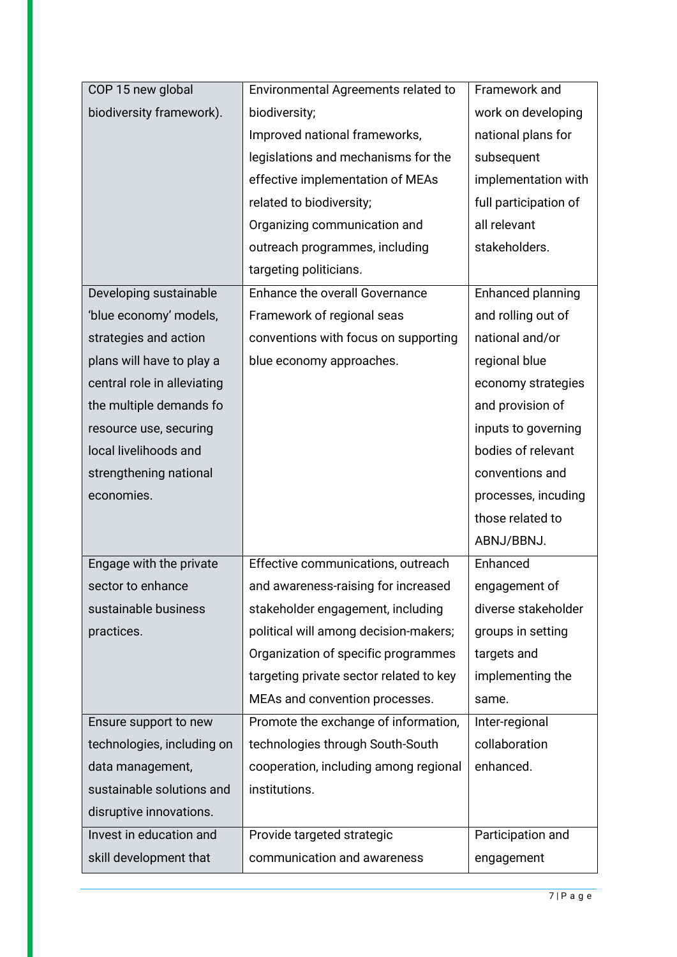| COP 15 new global           | Environmental Agreements related to     | Framework and         |
|-----------------------------|-----------------------------------------|-----------------------|
| biodiversity framework).    | biodiversity;                           | work on developing    |
|                             | Improved national frameworks,           | national plans for    |
|                             | legislations and mechanisms for the     | subsequent            |
|                             | effective implementation of MEAs        | implementation with   |
|                             | related to biodiversity;                | full participation of |
|                             | Organizing communication and            | all relevant          |
|                             | outreach programmes, including          | stakeholders.         |
|                             | targeting politicians.                  |                       |
| Developing sustainable      | <b>Enhance the overall Governance</b>   | Enhanced planning     |
| 'blue economy' models,      | Framework of regional seas              | and rolling out of    |
| strategies and action       | conventions with focus on supporting    | national and/or       |
| plans will have to play a   | blue economy approaches.                | regional blue         |
| central role in alleviating |                                         | economy strategies    |
| the multiple demands fo     |                                         | and provision of      |
| resource use, securing      |                                         | inputs to governing   |
| local livelihoods and       |                                         | bodies of relevant    |
| strengthening national      |                                         | conventions and       |
| economies.                  |                                         | processes, incuding   |
|                             |                                         | those related to      |
|                             |                                         | ABNJ/BBNJ.            |
| Engage with the private     | Effective communications, outreach      | Enhanced              |
| sector to enhance           | and awareness-raising for increased     | engagement of         |
| sustainable business        | stakeholder engagement, including       | diverse stakeholder   |
| practices.                  | political will among decision-makers;   | groups in setting     |
|                             | Organization of specific programmes     | targets and           |
|                             | targeting private sector related to key | implementing the      |
|                             | MEAs and convention processes.          | same.                 |
| Ensure support to new       | Promote the exchange of information,    | Inter-regional        |
| technologies, including on  | technologies through South-South        | collaboration         |
| data management,            | cooperation, including among regional   | enhanced.             |
| sustainable solutions and   | institutions.                           |                       |
| disruptive innovations.     |                                         |                       |
| Invest in education and     | Provide targeted strategic              | Participation and     |
| skill development that      | communication and awareness             | engagement            |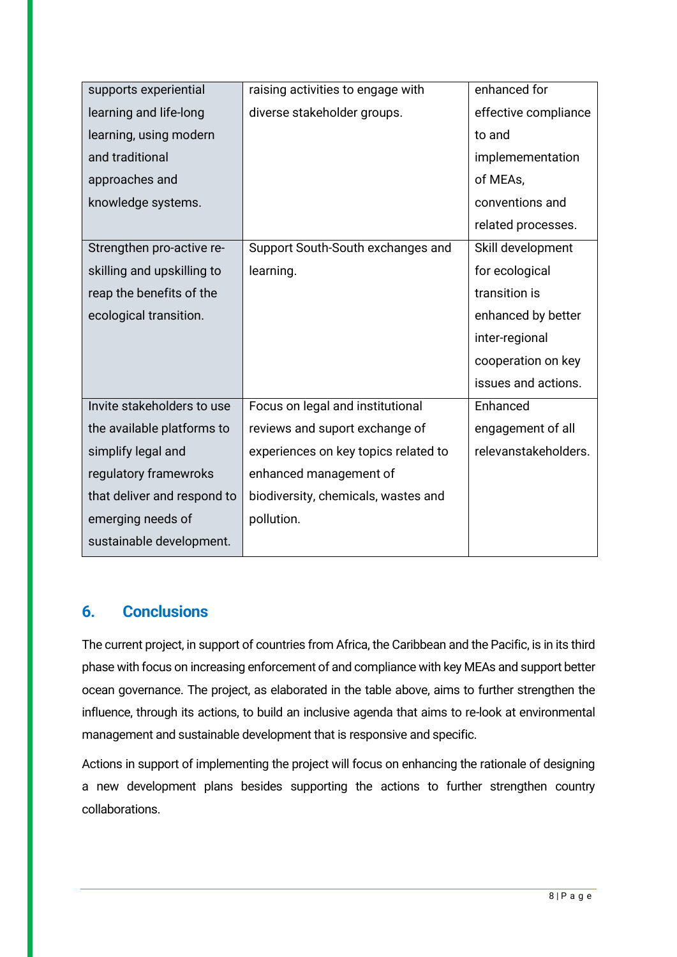| supports experiential       | raising activities to engage with    | enhanced for         |
|-----------------------------|--------------------------------------|----------------------|
| learning and life-long      | diverse stakeholder groups.          | effective compliance |
| learning, using modern      |                                      | to and               |
| and traditional             |                                      | implemementation     |
| approaches and              |                                      | of MEAs,             |
| knowledge systems.          |                                      | conventions and      |
|                             |                                      | related processes.   |
| Strengthen pro-active re-   | Support South-South exchanges and    | Skill development    |
| skilling and upskilling to  | learning.                            | for ecological       |
| reap the benefits of the    |                                      | transition is        |
| ecological transition.      |                                      | enhanced by better   |
|                             |                                      | inter-regional       |
|                             |                                      | cooperation on key   |
|                             |                                      | issues and actions.  |
| Invite stakeholders to use  | Focus on legal and institutional     | Enhanced             |
| the available platforms to  | reviews and suport exchange of       | engagement of all    |
| simplify legal and          | experiences on key topics related to | relevanstakeholders. |
| regulatory framewroks       | enhanced management of               |                      |
| that deliver and respond to | biodiversity, chemicals, wastes and  |                      |
| emerging needs of           | pollution.                           |                      |
| sustainable development.    |                                      |                      |

#### **6. Conclusions**

The current project, in support of countries from Africa, the Caribbean and the Pacific, is in its third phase with focus on increasing enforcement of and compliance with key MEAs and support better ocean governance. The project, as elaborated in the table above, aims to further strengthen the influence, through its actions, to build an inclusive agenda that aims to re-look at environmental management and sustainable development that is responsive and specific.

Actions in support of implementing the project will focus on enhancing the rationale of designing a new development plans besides supporting the actions to further strengthen country collaborations.